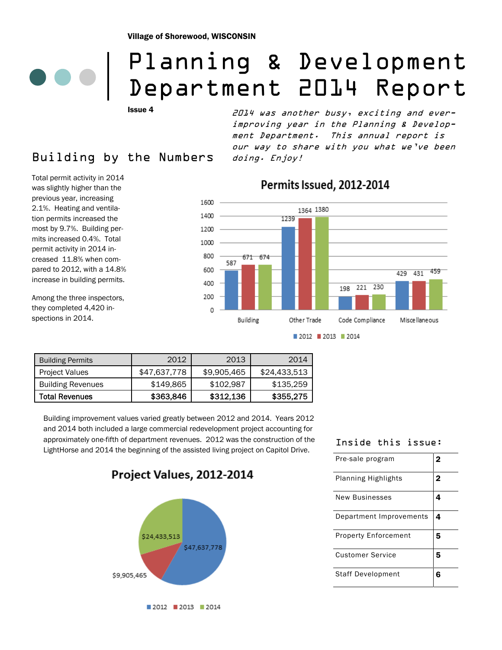# Planning & Development Department 2014 Report

Issue 4

## Building by the Numbers

Total permit activity in 2014 was slightly higher than the previous year, increasing 2.1%. Heating and ventilation permits increased the most by 9.7%. Building permits increased 0.4%. Total permit activity in 2014 increased 11.8% when compared to 2012, with a 14.8% increase in building permits.

Among the three inspectors, they completed 4,420 inspections in 2014.

2014 was another busy, exciting and everimproving year in the Planning & Development Department. This annual report is our way to share with you what we've been doing. Enjoy!



## Permits Issued, 2012-2014

Building Permits 2012 2013 2014 Project Values | \$47,637,778 | \$9,905,465 | \$24,433,513 Building Revenues | \$149,865 | \$102,987 | \$135,259 Total Revenues | \$363,846 | \$312,136 | \$355,275

Building improvement values varied greatly between 2012 and 2014. Years 2012 and 2014 both included a large commercial redevelopment project accounting for approximately one-fifth of department revenues. 2012 was the construction of the LightHorse and 2014 the beginning of the assisted living project on Capitol Drive.

Project Values, 2012-2014



### Inside this issue:

| Pre-sale program            | 2 |
|-----------------------------|---|
| <b>Planning Highlights</b>  | 2 |
| <b>New Businesses</b>       | 4 |
| Department Improvements     | 4 |
| <b>Property Enforcement</b> | 5 |
| <b>Customer Service</b>     | 5 |
| <b>Staff Development</b>    | 6 |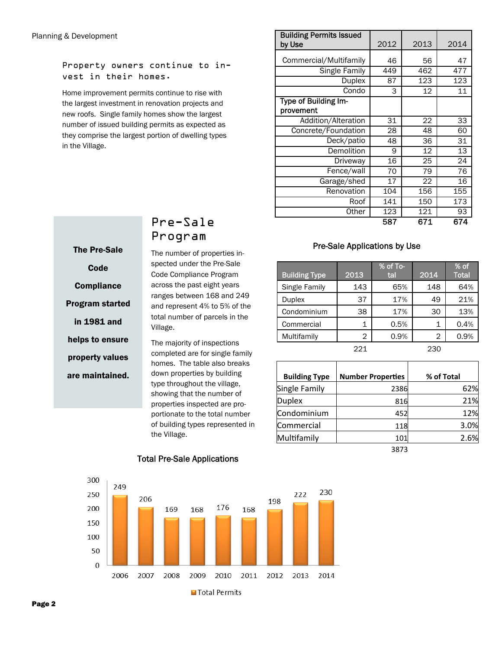Property owners continue to invest in their homes.

Home improvement permits continue to rise with the largest investment in renovation projects and new roofs. Single family homes show the largest number of issued building permits as expected as they comprise the largest portion of dwelling types in the Village.

| <b>Building Permits Issued</b><br>by Use | 2012 | 2013       | 2014       |
|------------------------------------------|------|------------|------------|
| Commercial/Multifamily                   | 46   | 56         | 47         |
| Single Family                            | 449  | 462<br>123 | 477<br>123 |
| Duplex                                   | 87   |            |            |
| Condo                                    | 3    | 12         | 11         |
| Type of Building Im-<br>provement        |      |            |            |
| Addition/Alteration                      | 31   | 22         | 33         |
| Concrete/Foundation                      | 28   | 48         | 60         |
| Deck/patio                               | 48   | 36         | 31         |
| Demolition                               | 9    | 12         | 13         |
| Driveway                                 | 16   | 25         | 24         |
| Fence/wall                               | 70   | 79         | 76         |
| Garage/shed                              | 17   | 22         | 16         |
| Renovation                               | 104  | 156        | 155        |
| Roof                                     | 141  | 150        | 173        |
| Other                                    | 123  | 121        | 93         |
|                                          | 587  | 671        | 674        |

### Pre-Sale Applications by Use

| <b>Building Type</b> | 2013 | % of To-<br>tal | 2014 | % of<br><b>Total</b> |
|----------------------|------|-----------------|------|----------------------|
| Single Family        | 143  | 65%             | 148  | 64%                  |
| <b>Duplex</b>        | 37   | 17%             | 49   | 21%                  |
| Condominium          | 38   | 17%             | 30   | 13%                  |
| Commercial           | 1    | 0.5%            | 1    | 0.4%                 |
| Multifamily          | 2    | 0.9%            | 2    | 0.9%                 |
|                      | 221  |                 | 230  |                      |

| <b>Building Type</b> | <b>Number Properties</b> | % of Total |
|----------------------|--------------------------|------------|
| <b>Single Family</b> | 2386                     | 62%        |
| <b>Duplex</b>        | 816                      | 21%        |
| Condominium          | 452                      | 12%        |
| Commercial           | 118                      | 3.0%       |
| Multifamily          | 101                      | 2.6%       |
|                      | 3873                     |            |



### Pre-Sale Program

The number of properties inspected under the Pre-Sale Code Compliance Program across the past eight years ranges between 168 and 249 and represent 4% to 5% of the total number of parcels in the Village.

The majority of inspections completed are for single family homes. The table also breaks down properties by building type throughout the village, showing that the number of properties inspected are proportionate to the total number of building types represented in the Village.



### Total Pre-Sale Applications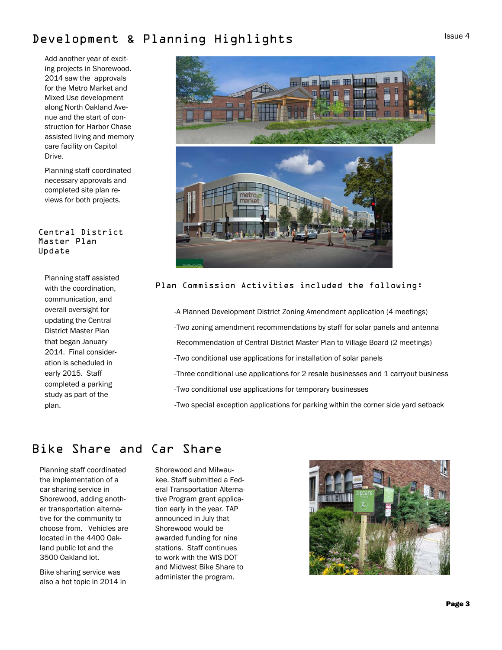## Development & Planning Highlights

Add another year of exciting projects in Shorewood. 2014 saw the approvals for the Metro Market and Mixed Use development along North Oakland Avenue and the start of construction for Harbor Chase assisted living and memory care facility on Capitol Drive.

Planning staff coordinated necessary approvals and completed site plan reviews for both projects.

### Central District Master Plan Update

Planning staff assisted with the coordination, communication, and overall oversight for updating the Central District Master Plan that began January 2014. Final consideration is scheduled in early 2015. Staff completed a parking study as part of the plan.



### Plan Commission Activities included the following:

-A Planned Development District Zoning Amendment application (4 meetings) -Two zoning amendment recommendations by staff for solar panels and antenna -Recommendation of Central District Master Plan to Village Board (2 meetings) -Two conditional use applications for installation of solar panels -Three conditional use applications for 2 resale businesses and 1 carryout business -Two conditional use applications for temporary businesses -Two special exception applications for parking within the corner side yard setback

## Bike Share and Car Share

Planning staff coordinated the implementation of a car sharing service in Shorewood, adding another transportation alternative for the community to choose from. Vehicles are located in the 4400 Oakland public lot and the 3500 Oakland lot.

Bike sharing service was also a hot topic in 2014 in

Shorewood and Milwaukee. Staff submitted a Federal Transportation Alternative Program grant application early in the year. TAP announced in July that Shorewood would be awarded funding for nine stations. Staff continues to work with the WIS DOT and Midwest Bike Share to administer the program.

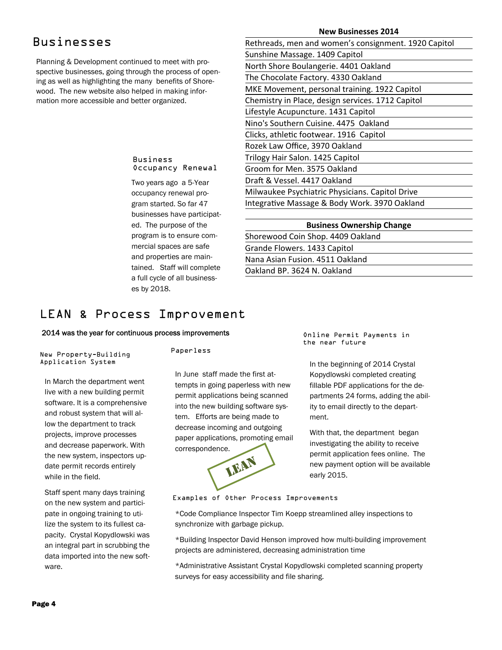## Businesses

Planning & Development continued to meet with prospective businesses, going through the process of opening as well as highlighting the many benefits of Shorewood. The new website also helped in making information more accessible and better organized.

### **New Businesses 2014**

| Rethreads, men and women's consignment. 1920 Capitol |
|------------------------------------------------------|
| Sunshine Massage. 1409 Capitol                       |
| North Shore Boulangerie. 4401 Oakland                |
| The Chocolate Factory. 4330 Oakland                  |
| MKE Movement, personal training. 1922 Capitol        |
| Chemistry in Place, design services. 1712 Capitol    |
| Lifestyle Acupuncture. 1431 Capitol                  |
| Nino's Southern Cuisine, 4475 Oakland                |
| Clicks, athletic footwear. 1916 Capitol              |
| Rozek Law Office, 3970 Oakland                       |
| Trilogy Hair Salon. 1425 Capitol                     |
| Groom for Men. 3575 Oakland                          |
| Draft & Vessel. 4417 Oakland                         |
| Milwaukee Psychiatric Physicians. Capitol Drive      |
| Integrative Massage & Body Work. 3970 Oakland        |
|                                                      |

| <b>Business Ownership Change</b>  |  |  |  |
|-----------------------------------|--|--|--|
| Shorewood Coin Shop. 4409 Oakland |  |  |  |
| Grande Flowers. 1433 Capitol      |  |  |  |
| Nana Asian Fusion. 4511 Oakland   |  |  |  |
| Oakland BP, 3624 N, Oakland       |  |  |  |
|                                   |  |  |  |

## Occupancy Renewal

Business

Two years ago a 5-Year occupancy renewal program started. So far 47 businesses have participated. The purpose of the program is to ensure commercial spaces are safe and properties are maintained. Staff will complete a full cycle of all businesses by 2018.

## LEAN & Process Improvement

### 2014 was the year for continuous process improvements

New Property-Building Application System

In March the department went live with a new building permit software. It is a comprehensive and robust system that will allow the department to track projects, improve processes and decrease paperwork. With the new system, inspectors update permit records entirely while in the field.

Staff spent many days training on the new system and participate in ongoing training to utilize the system to its fullest capacity. Crystal Kopydlowski was an integral part in scrubbing the data imported into the new software.

#### Paperless

In June staff made the first attempts in going paperless with new permit applications being scanned into the new building software system. Efforts are being made to decrease incoming and outgoing paper applications, promoting email correspondence.



Online Permit Payments in the near future

In the beginning of 2014 Crystal Kopydlowski completed creating fillable PDF applications for the departments 24 forms, adding the ability to email directly to the department.

With that, the department began investigating the ability to receive permit application fees online. The new payment option will be available early 2015.

Examples of Other Process Improvements

\*Code Compliance Inspector Tim Koepp streamlined alley inspections to synchronize with garbage pickup.

\*Building Inspector David Henson improved how multi-building improvement projects are administered, decreasing administration time

\*Administrative Assistant Crystal Kopydlowski completed scanning property surveys for easy accessibility and file sharing.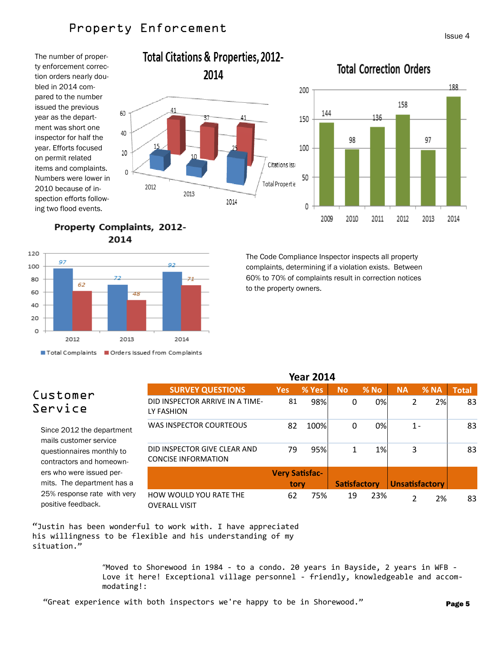## Property Enforcement

2012

2013

The number of property enforcement correction orders nearly doubled in 2014 compared to the number issued the previous year as the department was short one inspector for half the year. Efforts focused on permit related items and complaints. Numbers were lower in 2010 because of inspection efforts following two flood events.

### **Total Citations & Properties, 2012-**2014 200 41 144 37 150 41 15 100 20 Citations Iss 0

2014

## **Total Correction Orders**



Property Complaints, 2012-2014

60

40



The Code Compliance Inspector inspects all property complaints, determining if a violation exists. Between 60% to 70% of complaints result in correction notices to the property owners.

## Customer Service

Since 2012 the department mails customer service questionnaires monthly to contractors and homeowners who were issued permits. The department has a 25% response rate with very positive feedback.

| <b>SURVEY QUESTIONS</b>                                    | <b>Yes</b>            | % Yes | <b>No</b>           | % No | <b>NA</b>             | % NA | <b>Total</b> |
|------------------------------------------------------------|-----------------------|-------|---------------------|------|-----------------------|------|--------------|
| DID INSPECTOR ARRIVE IN A TIME-<br>LY FASHION              | 81                    | 98%   | 0                   | 0%   | 2                     | 2%   | 83           |
| WAS INSPECTOR COURTEOUS                                    | 82                    | 100%  | 0                   | 0%   | $1 -$                 |      | 83           |
| DID INSPECTOR GIVE CLEAR AND<br><b>CONCISE INFORMATION</b> | 79                    | 95%   | 1                   | 1%   | 3                     |      | 83           |
|                                                            | <b>Very Satisfac-</b> |       |                     |      |                       |      |              |
|                                                            | tory                  |       | <b>Satisfactory</b> |      | <b>Unsatisfactory</b> |      |              |
| HOW WOULD YOU RATE THE<br><b>OVERALL VISIT</b>             | 62                    | 75%   | 19                  | 23%  | 2                     | 2%   | 83           |

**Year 2014**

"Justin has been wonderful to work with. I have appreciated his willingness to be flexible and his understanding of my situation."

> "Moved to Shorewood in 1984 ‐ to a condo. 20 years in Bayside, 2 years in WFB ‐ Love it here! Exceptional village personnel - friendly, knowledgeable and accommodating!: